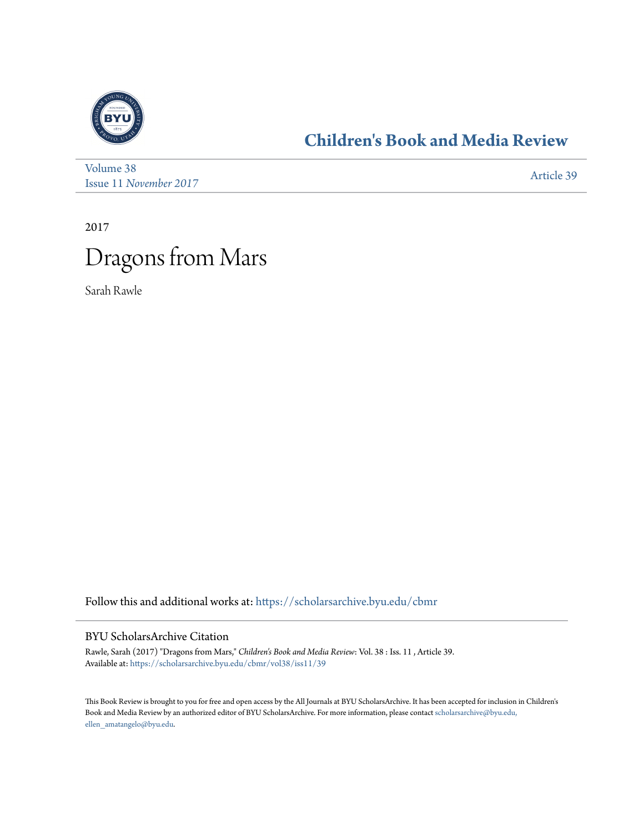

## **[Children's Book and Media Review](https://scholarsarchive.byu.edu/cbmr?utm_source=scholarsarchive.byu.edu%2Fcbmr%2Fvol38%2Fiss11%2F39&utm_medium=PDF&utm_campaign=PDFCoverPages)**

[Volume 38](https://scholarsarchive.byu.edu/cbmr/vol38?utm_source=scholarsarchive.byu.edu%2Fcbmr%2Fvol38%2Fiss11%2F39&utm_medium=PDF&utm_campaign=PDFCoverPages) Issue 11 *[November 2017](https://scholarsarchive.byu.edu/cbmr/vol38/iss11?utm_source=scholarsarchive.byu.edu%2Fcbmr%2Fvol38%2Fiss11%2F39&utm_medium=PDF&utm_campaign=PDFCoverPages)* [Article 39](https://scholarsarchive.byu.edu/cbmr/vol38/iss11/39?utm_source=scholarsarchive.byu.edu%2Fcbmr%2Fvol38%2Fiss11%2F39&utm_medium=PDF&utm_campaign=PDFCoverPages)

2017



Sarah Rawle

Follow this and additional works at: [https://scholarsarchive.byu.edu/cbmr](https://scholarsarchive.byu.edu/cbmr?utm_source=scholarsarchive.byu.edu%2Fcbmr%2Fvol38%2Fiss11%2F39&utm_medium=PDF&utm_campaign=PDFCoverPages)

## BYU ScholarsArchive Citation

Rawle, Sarah (2017) "Dragons from Mars," *Children's Book and Media Review*: Vol. 38 : Iss. 11 , Article 39. Available at: [https://scholarsarchive.byu.edu/cbmr/vol38/iss11/39](https://scholarsarchive.byu.edu/cbmr/vol38/iss11/39?utm_source=scholarsarchive.byu.edu%2Fcbmr%2Fvol38%2Fiss11%2F39&utm_medium=PDF&utm_campaign=PDFCoverPages)

This Book Review is brought to you for free and open access by the All Journals at BYU ScholarsArchive. It has been accepted for inclusion in Children's Book and Media Review by an authorized editor of BYU ScholarsArchive. For more information, please contact [scholarsarchive@byu.edu,](mailto:scholarsarchive@byu.edu,%20ellen_amatangelo@byu.edu) [ellen\\_amatangelo@byu.edu.](mailto:scholarsarchive@byu.edu,%20ellen_amatangelo@byu.edu)